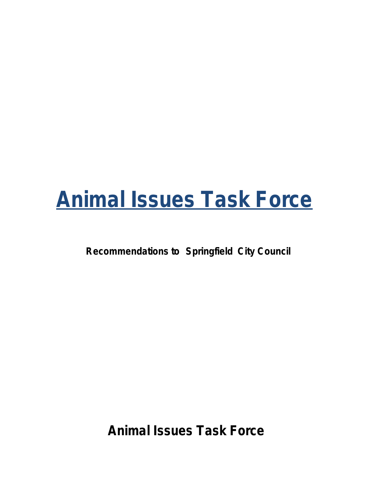# **Animal Issues Task Force**

**Recommendations to Springfield City Council**

**Animal Issues Task Force**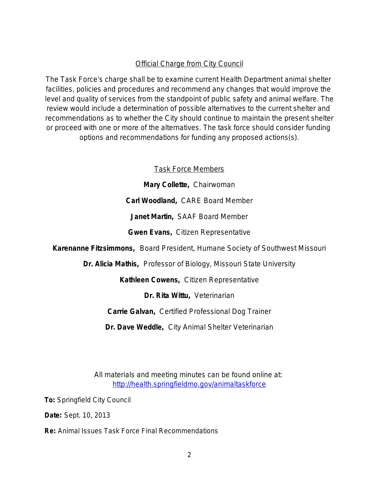### Official Charge from City Council

*The Task Force*'*s charge shall be to examine current Health Department animal shelter*  facilities, policies and procedures and recommend any changes that would improve the *level and quality of services from the standpoint of public safety and animal welfare. The review would include a determination of possible alternatives to the current shelter and recommendations as to whether the City should continue to maintain the present shelter or proceed with one or more of the alternatives. The task force should consider funding options and recommendations for funding any proposed actions(s).*

Task Force Members

**Mary Collette,** Chairwoman **Carl Woodland,** CARE Board Member **Janet Martin,** SAAF Board Member **Gwen Evans,** Citizen Representative

**Karenanne Fitzsimmons,** Board President, Humane Society of Southwest Missouri

**Dr. Alicia Mathis,** Professor of Biology, Missouri State University

**Kathleen Cowens,** Citizen Representative

**Dr. Rita Wittu,** Veterinarian

**Carrie Galvan,** Certified Professional Dog Trainer

**Dr. Dave Weddle,** City Animal Shelter Veterinarian

All materials and meeting minutes can be found online at: <http://health.springfieldmo.gov/animaltaskforce>

**To:** Springfield City Council

**Date:** Sept. 10, 2013

**Re:** Animal Issues Task Force Final Recommendations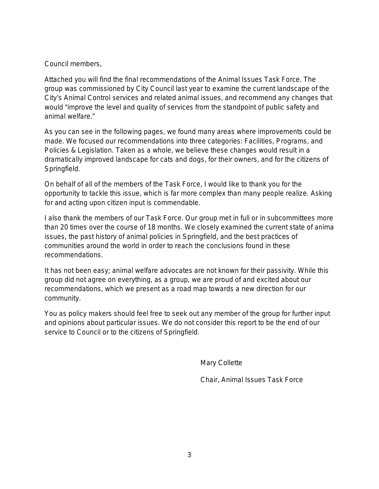Council members,

Attached you will find the final recommendations of the Animal Issues Task Force. The group was commissioned by City Council last year to examine the current landscape of the City's Animal Control services and related animal issues, and recommend any changes that would "improve the level and quality of services from the standpoint of public safety and animal welfare."

As you can see in the following pages, we found many areas where improvements could be made. We focused our recommendations into three categories: Facilities, Programs, and Policies & Legislation. Taken as a whole, we believe these changes would result in a dramatically improved landscape for cats and dogs, for their owners, and for the citizens of Springfield.

On behalf of all of the members of the Task Force, I would like to thank you for the opportunity to tackle this issue, which is far more complex than many people realize. Asking for and acting upon citizen input is commendable.

I also thank the members of our Task Force. Our group met in full or in subcommittees more than 20 times over the course of 18 months. We closely examined the current state of anima issues, the past history of animal policies in Springfield, and the best practices of communities around the world in order to reach the conclusions found in these recommendations.

It has not been easy; animal welfare advocates are not known for their passivity. While this group did not agree on everything, as a group, we are proud of and excited about our recommendations, which we present as a road map towards a new direction for our community.

You as policy makers should feel free to seek out any member of the group for further input and opinions about particular issues. We do not consider this report to be the end of our service to Council or to the citizens of Springfield.

Mary Collette

Chair, Animal Issues Task Force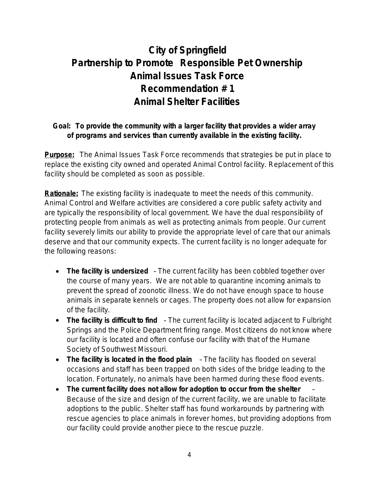# **City of Springfield Partnership to Promote Responsible Pet Ownership Animal Issues Task Force Recommendation # 1 Animal Shelter Facilities**

## *Goal: To provide the community with a larger facility that provides a wider array of programs and services than currently available in the existing facility.*

**Purpose:** The Animal Issues Task Force recommends that strategies be put in place to replace the existing city owned and operated Animal Control facility. Replacement of this facility should be completed as soon as possible.

**Rationale:** The existing facility is inadequate to meet the needs of this community. Animal Control and Welfare activities are considered a core public safety activity and are typically the responsibility of local government. We have the dual responsibility of protecting people from animals as well as protecting animals from people. Our current facility severely limits our ability to provide the appropriate level of care that our animals deserve and that our community expects. The current facility is no longer adequate for the following reasons:

- *The facility is undersized* The current facility has been cobbled together over the course of many years. We are not able to quarantine incoming animals to prevent the spread of zoonotic illness. We do not have enough space to house animals in separate kennels or cages. The property does not allow for expansion of the facility.
- *The facility is difficult to find*  The current facility is located adjacent to Fulbright Springs and the Police Department firing range. Most citizens do not know where our facility is located and often confuse our facility with that of the Humane Society of Southwest Missouri.
- *The facility is located in the flood plain* The facility has flooded on several occasions and staff has been trapped on both sides of the bridge leading to the location. Fortunately, no animals have been harmed during these flood events.
- *The current facility does not allow for adoption to occur from the shelter*  Because of the size and design of the current facility, we are unable to facilitate adoptions to the public. Shelter staff has found workarounds by partnering with rescue agencies to place animals in forever homes, but providing adoptions from our facility could provide another piece to the rescue puzzle.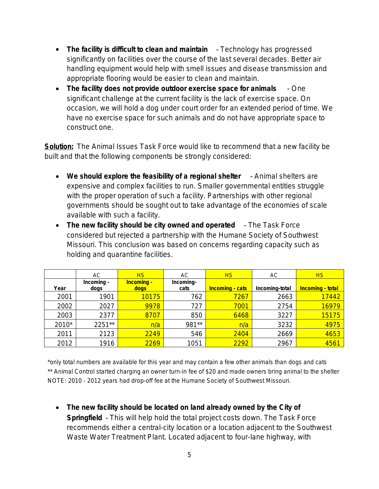- The facility is difficult to clean and maintain Technology has progressed significantly on facilities over the course of the last several decades. Better air handling equipment would help with smell issues and disease transmission and appropriate flooring would be easier to clean and maintain.
- *The facility does not provide outdoor exercise space for animals*  One significant challenge at the current facility is the lack of exercise space. On occasion, we will hold a dog under court order for an extended period of time. We have no exercise space for such animals and do not have appropriate space to construct one.

**Solution:** The Animal Issues Task Force would like to recommend that a new facility be built and that the following components be strongly considered:

- We should explore the feasibility of a regional shelter Animal shelters are expensive and complex facilities to run. Smaller governmental entities struggle with the proper operation of such a facility. Partnerships with other regional governments should be sought out to take advantage of the economies of scale available with such a facility.
- The new facility should be city owned and operated The Task Force considered but rejected a partnership with the Humane Society of Southwest Missouri. This conclusion was based on concerns regarding capacity such as holding and quarantine facilities.

|       | АC                 | <b>HS</b>                 | AС                | HS                     | AC.            | <b>HS</b>        |
|-------|--------------------|---------------------------|-------------------|------------------------|----------------|------------------|
| Year  | Incoming -<br>dogs | <b>Incoming -</b><br>dogs | Incoming-<br>cats | <b>Incoming - cats</b> | Incoming-total | Incoming - total |
| 2001  | 1901               | 10175                     | 762               | 7267                   | 2663           | 17442            |
| 2002  | 2027               | 9978                      | 727               | 7001                   | 2754           | 16979            |
| 2003  | 2377               | 8707                      | 850               | 6468                   | 3227           | 15175            |
| 2010* | 2251**             | n/a                       | 981**             | n/a                    | 3232           | 4975             |
| 2011  | 2123               | 2249                      | 546               | 2404                   | 2669           | 4653             |
| 2012  | 1916               | 2269                      | 1051              | 2292                   | 2967           | 4561             |

\*only total numbers are available for this year and may contain a few other animals than dogs and cats \*\* Animal Control started charging an owner turn-in fee of \$20 and made owners bring animal to the shelter NOTE: 2010 - 2012 years had drop-off fee at the Humane Society of Southwest Missouri.

 *The new facility should be located on land already owned by the City of Springfield* – This will help hold the total project costs down. The Task Force recommends either a central-city location or a location adjacent to the Southwest Waste Water Treatment Plant. Located adjacent to four-lane highway, with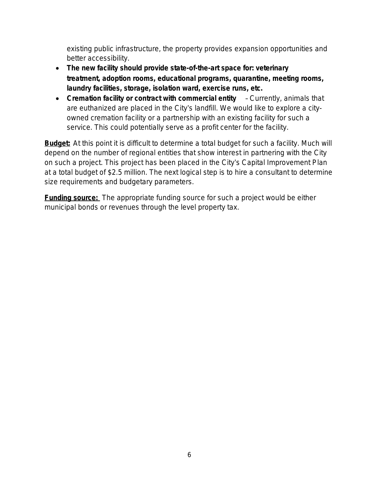existing public infrastructure, the property provides expansion opportunities and better accessibility.

- *The new facility should provide state-of-the-art space for: veterinary treatment, adoption rooms, educational programs, quarantine, meeting rooms, laundry facilities, storage, isolation ward, exercise runs, etc.*
- *Cremation facility or contract with commercial entity*  Currently, animals that are euthanized are placed in the City's landfill. We would like to explore a cityowned cremation facility or a partnership with an existing facility for such a service. This could potentially serve as a profit center for the facility.

**Budget:** At this point it is difficult to determine a total budget for such a facility. Much will depend on the number of regional entities that show interest in partnering with the City on such a project. This project has been placed in the City's Capital Improvement Plan at a total budget of \$2.5 million. The next logical step is to hire a consultant to determine size requirements and budgetary parameters.

**Funding source:** The appropriate funding source for such a project would be either municipal bonds or revenues through the level property tax.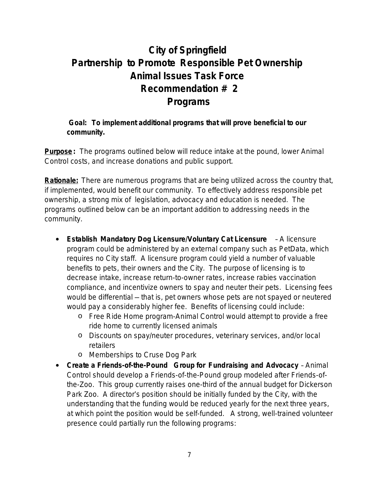# **City of Springfield Partnership to Promote Responsible Pet Ownership Animal Issues Task Force Recommendation # 2 Programs**

#### *Goal: To implement additional programs that will prove beneficial to our community.*

**Purpose:** The programs outlined below will reduce intake at the pound, lower Animal Control costs, and increase donations and public support.

**Rationale:** There are numerous programs that are being utilized across the country that, if implemented, would benefit our community. To effectively address responsible pet ownership, a strong mix of legislation, advocacy and education is needed. The programs outlined below can be an important addition to addressing needs in the community.

- *Establish Mandatory Dog Licensure/Voluntary Cat Licensure* A licensure program could be administered by an external company such as PetData, which requires no City staff. A licensure program could yield a number of valuable benefits to pets, their owners and the City. The purpose of licensing is to decrease intake, increase return-to-owner rates, increase rabies vaccination compliance, and incentivize owners to spay and neuter their pets. Licensing fees would be differential — that is, pet owners whose pets are not spayed or neutered would pay a considerably higher fee. Benefits of licensing could include:
	- o Free Ride Home program-Animal Control would attempt to provide a free ride home to currently licensed animals
	- o Discounts on spay/neuter procedures, veterinary services, and/or local retailers
	- o Memberships to Cruse Dog Park
- *Create a Friends-of-the-Pound Group for Fundraising and Advocacy* Animal Control should develop a Friends-of-the-Pound group modeled after Friends-ofthe-Zoo. This group currently raises one-third of the annual budget for Dickerson Park Zoo. A director's position should be initially funded by the City, with the understanding that the funding would be reduced yearly for the next three years, at which point the position would be self-funded. A strong, well-trained volunteer presence could partially run the following programs: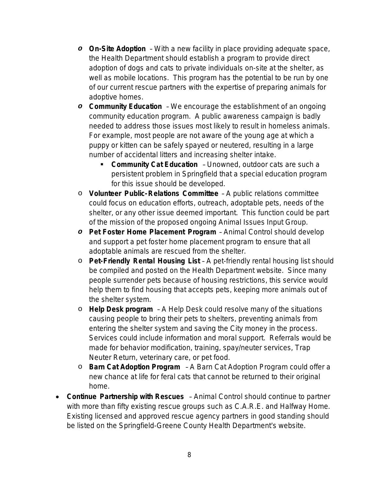- *o On-Site Adoption* With a new facility in place providing adequate space, the Health Department should establish a program to provide direct adoption of dogs and cats to private individuals on-site at the shelter, as well as mobile locations. This program has the potential to be run by one of our current rescue partners with the expertise of preparing animals for adoptive homes.
- *o Community Education* We encourage the establishment of an ongoing community education program. A public awareness campaign is badly needed to address those issues most likely to result in homeless animals. For example, most people are not aware of the young age at which a puppy or kitten can be safely spayed or neutered, resulting in a large number of accidental litters and increasing shelter intake.
	- *Community Cat Education* Unowned, outdoor cats are such a persistent problem in Springfield that a special education program for this issue should be developed.
- o *Volunteer Public-Relations Committee* A public relations committee could focus on education efforts, outreach, adoptable pets, needs of the shelter, or any other issue deemed important. This function could be part of the mission of the proposed ongoing Animal Issues Input Group.
- *o Pet Foster Home Placement Program* Animal Control should develop and support a pet foster home placement program to ensure that all adoptable animals are rescued from the shelter.
- o *Pet-Friendly Rental Housing List* A pet-friendly rental housing list should be compiled and posted on the Health Department website. Since many people surrender pets because of housing restrictions, this service would help them to find housing that accepts pets, keeping more animals out of the shelter system.
- o *Help Desk program* A Help Desk could resolve many of the situations causing people to bring their pets to shelters, preventing animals from entering the shelter system and saving the City money in the process. Services could include information and moral support. Referrals would be made for behavior modification, training, spay/neuter services, Trap Neuter Return, veterinary care, or pet food.
- o *Barn Cat Adoption Program* A Barn Cat Adoption Program could offer a new chance at life for feral cats that cannot be returned to their original home.
- *Continue Partnership with Rescues* Animal Control should continue to partner with more than fifty existing rescue groups such as C.A.R.E. and Halfway Home. Existing licensed and approved rescue agency partners in good standing should be listed on the Springfield-Greene County Health Department's website.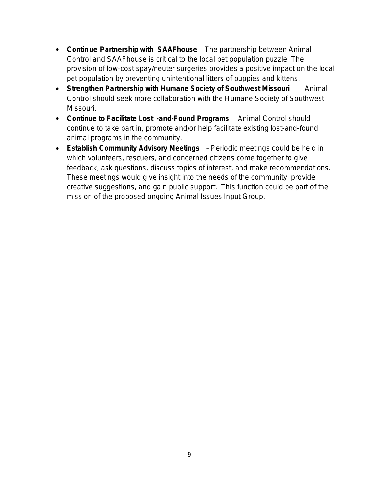- *Continue Partnership with SAAFhouse* The partnership between Animal Control and SAAFhouse is critical to the local pet population puzzle. The provision of low-cost spay/neuter surgeries provides a positive impact on the local pet population by preventing unintentional litters of puppies and kittens.
- *Strengthen Partnership with Humane Society of Southwest Missouri*  Animal Control should seek more collaboration with the Humane Society of Southwest Missouri.
- *Continue to Facilitate Lost -and-Found Programs* Animal Control should continue to take part in, promote and/or help facilitate existing lost-and-found animal programs in the community.
- *Establish Community Advisory Meetings* Periodic meetings could be held in which volunteers, rescuers, and concerned citizens come together to give feedback, ask questions, discuss topics of interest, and make recommendations. These meetings would give insight into the needs of the community, provide creative suggestions, and gain public support. This function could be part of the mission of the proposed ongoing Animal Issues Input Group.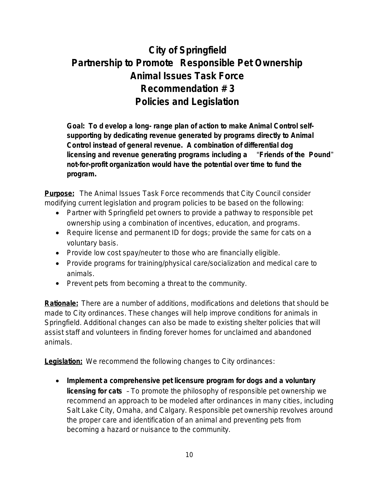# **City of Springfield Partnership to Promote Responsible Pet Ownership Animal Issues Task Force Recommendation # 3 Policies and Legislation**

*Goal: To d evelop a long- range plan of action to make Animal Control selfsupporting by dedicating revenue generated by programs directly to Animal Control instead of general revenue. A combination of differential dog licensing and revenue generating programs including a* "*Friends of the Pound*" *not-for-profit organization would have the potential over time to fund the program.* 

**Purpose:** The Animal Issues Task Force recommends that City Council consider modifying current legislation and program policies to be based on the following:

- Partner with Springfield pet owners to provide a pathway to responsible pet ownership using a combination of incentives, education, and programs.
- Require license and permanent ID for dogs; provide the same for cats on a voluntary basis.
- Provide low cost spay/neuter to those who are financially eligible.
- Provide programs for training/physical care/socialization and medical care to animals.
- Prevent pets from becoming a threat to the community.

**Rationale:** There are a number of additions, modifications and deletions that should be made to City ordinances. These changes will help improve conditions for animals in Springfield. Additional changes can also be made to existing shelter policies that will assist staff and volunteers in finding forever homes for unclaimed and abandoned animals.

**Legislation:** We recommend the following changes to City ordinances:

 *Implement a comprehensive pet licensure program for dogs and a voluntary licensing for cats* – To promote the philosophy of responsible pet ownership we recommend an approach to be modeled after ordinances in many cities, including Salt Lake City, Omaha, and Calgary. Responsible pet ownership revolves around the proper care and identification of an animal and preventing pets from becoming a hazard or nuisance to the community.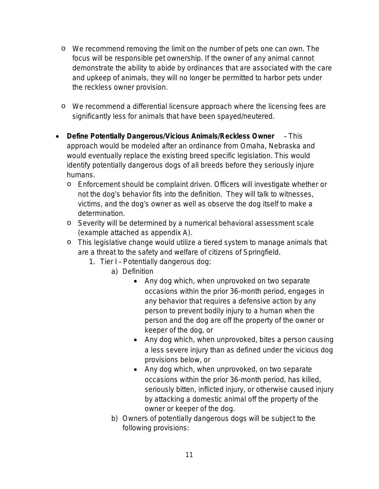- o We recommend removing the limit on the number of pets one can own. The focus will be responsible pet ownership. If the owner of any animal cannot demonstrate the ability to abide by ordinances that are associated with the care and upkeep of animals, they will no longer be permitted to harbor pets under the reckless owner provision.
- o We recommend a differential licensure approach where the licensing fees are significantly less for animals that have been spayed/neutered.
- *Define Potentially Dangerous/Vicious Animals/Reckless Owner*  This approach would be modeled after an ordinance from Omaha, Nebraska and would eventually replace the existing breed specific legislation. This would identify potentially dangerous dogs of all breeds before they seriously injure humans.
	- o Enforcement should be complaint driven. Officers will investigate whether or not the dog's behavior fits into the definition. They will talk to witnesses, victims, and the dog's owner as well as observe the dog itself to make a determination.
	- o Severity will be determined by a numerical behavioral assessment scale (example attached as appendix A).
	- o This legislative change would utilize a tiered system to manage animals that are a threat to the safety and welfare of citizens of Springfield.
		- 1. Tier I Potentially dangerous dog:
			- a) Definition
				- Any dog which, when unprovoked on two separate occasions within the prior 36-month period, engages in any behavior that requires a defensive action by any person to prevent bodily injury to a human when the person and the dog are off the property of the owner or keeper of the dog, or
				- Any dog which, when unprovoked, bites a person causing a less severe injury than as defined under the vicious dog provisions below, or
				- Any dog which, when unprovoked, on two separate occasions within the prior 36-month period, has killed, seriously bitten, inflicted injury, or otherwise caused injury by attacking a domestic animal off the property of the owner or keeper of the dog.
				- b) Owners of potentially dangerous dogs will be subject to the following provisions: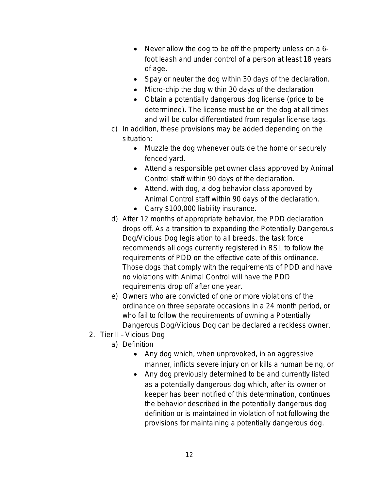- Never allow the dog to be off the property unless on a 6foot leash and under control of a person at least 18 years of age.
- Spay or neuter the dog within 30 days of the declaration.
- Micro-chip the dog within 30 days of the declaration
- Obtain a potentially dangerous dog license (price to be determined). The license must be on the dog at all times and will be color differentiated from regular license tags.
- c) In addition, these provisions may be added depending on the situation:
	- Muzzle the dog whenever outside the home or securely fenced yard.
	- Attend a responsible pet owner class approved by Animal Control staff within 90 days of the declaration.
	- Attend, with dog, a dog behavior class approved by Animal Control staff within 90 days of the declaration.
	- Carry \$100,000 liability insurance.
- d) After 12 months of appropriate behavior, the PDD declaration drops off. As a transition to expanding the Potentially Dangerous Dog/Vicious Dog legislation to all breeds, the task force recommends all dogs currently registered in BSL to follow the requirements of PDD on the effective date of this ordinance. Those dogs that comply with the requirements of PDD and have no violations with Animal Control will have the PDD requirements drop off after one year.
- e) Owners who are convicted of one or more violations of the ordinance on three separate occasions in a 24 month period, or who fail to follow the requirements of owning a Potentially Dangerous Dog/Vicious Dog can be declared a reckless owner.
- 2. Tier II Vicious Dog
	- a) Definition
		- Any dog which, when unprovoked, in an aggressive manner, inflicts severe injury on or kills a human being, or
		- Any dog previously determined to be and currently listed as a potentially dangerous dog which, after its owner or keeper has been notified of this determination, continues the behavior described in the potentially dangerous dog definition or is maintained in violation of not following the provisions for maintaining a potentially dangerous dog.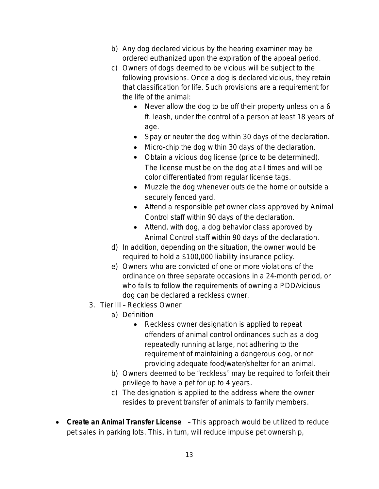- b) Any dog declared vicious by the hearing examiner may be ordered euthanized upon the expiration of the appeal period.
- c) Owners of dogs deemed to be vicious will be subject to the following provisions. Once a dog is declared vicious, they retain that classification for life. Such provisions are a requirement for the life of the animal:
	- Never allow the dog to be off their property unless on a 6 ft. leash, under the control of a person at least 18 years of age.
	- Spay or neuter the dog within 30 days of the declaration.
	- Micro-chip the dog within 30 days of the declaration.
	- Obtain a vicious dog license (price to be determined). The license must be on the dog at all times and will be color differentiated from regular license tags.
	- Muzzle the dog whenever outside the home or outside a securely fenced yard.
	- Attend a responsible pet owner class approved by Animal Control staff within 90 days of the declaration.
	- Attend, with dog, a dog behavior class approved by Animal Control staff within 90 days of the declaration.
- d) In addition, depending on the situation, the owner would be required to hold a \$100,000 liability insurance policy.
- e) Owners who are convicted of one or more violations of the ordinance on three separate occasions in a 24-month period, or who fails to follow the requirements of owning a PDD/vicious dog can be declared a reckless owner.
- 3. Tier III Reckless Owner
	- a) Definition
		- Reckless owner designation is applied to repeat offenders of animal control ordinances such as a dog repeatedly running at large, not adhering to the requirement of maintaining a dangerous dog, or not providing adequate food/water/shelter for an animal.
	- b) Owners deemed to be "reckless" may be required to forfeit their privilege to have a pet for up to 4 years.
	- c) The designation is applied to the address where the owner resides to prevent transfer of animals to family members.
- *Create an Animal Transfer License*  This approach would be utilized to reduce pet sales in parking lots. This, in turn, will reduce impulse pet ownership,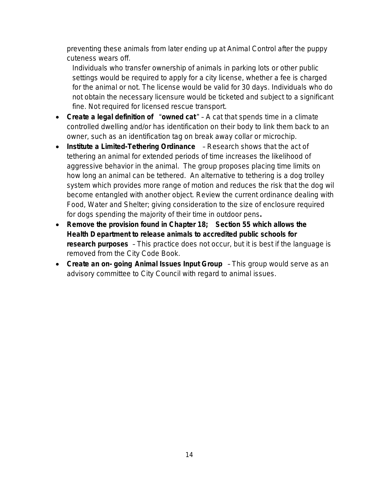preventing these animals from later ending up at Animal Control after the puppy cuteness wears off.

Individuals who transfer ownership of animals in parking lots or other public settings would be required to apply for a city license, whether a fee is charged for the animal or not. The license would be valid for 30 days. Individuals who do not obtain the necessary licensure would be ticketed and subject to a significant fine. Not required for licensed rescue transport.

- *Create a legal definition of* "*owned cat* " A cat that spends time in a climate controlled dwelling and/or has identification on their body to link them back to an owner, such as an identification tag on break away collar or microchip.
- *Institute a Limited-Tethering Ordinance*  Research shows that the act of tethering an animal for extended periods of time increases the likelihood of aggressive behavior in the animal. The group proposes placing time limits on how long an animal can be tethered. An alternative to tethering is a dog trolley system which provides more range of motion and reduces the risk that the dog wil become entangled with another object. Review the current ordinance dealing with Food, Water and Shelter; giving consideration to the size of enclosure required for dogs spending the majority of their time in outdoor pens*.*
- *Remove the provision found in Chapter 18; Section 55 which allows the Health D epartment to release animals to accredited public schools for research purposes* – This practice does not occur, but it is best if the language is removed from the City Code Book.
- *Create an on- going Animal Issues Input Group* This group would serve as an advisory committee to City Council with regard to animal issues.